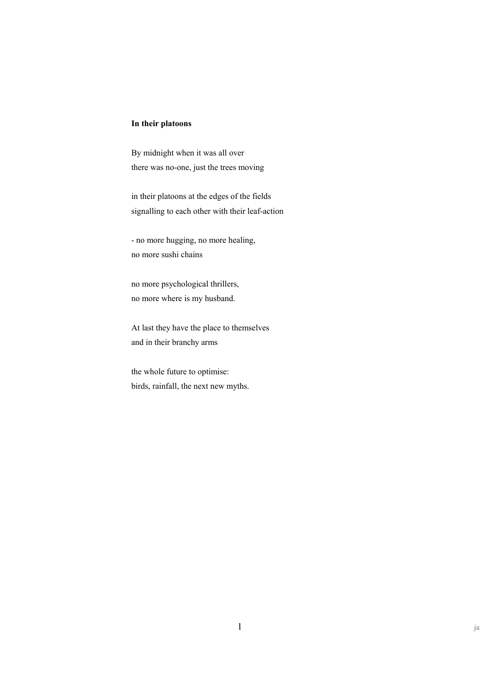## **In their platoons**

By midnight when it was all over there was no-one, just the trees moving

in their platoons at the edges of the fields signalling to each other with their leaf-action

- no more hugging, no more healing, no more sushi chains

no more psychological thrillers, no more where is my husband.

At last they have the place to themselves and in their branchy arms

the whole future to optimise: birds, rainfall, the next new myths.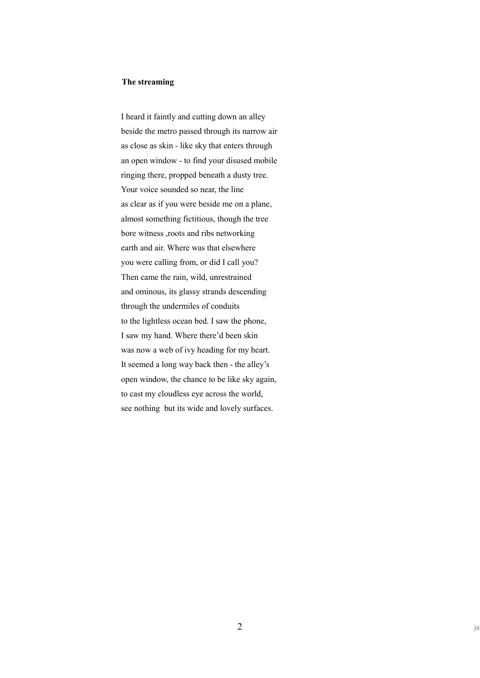## **The streaming**

I heard it faintly and cutting down an alley beside the metro passed through its narrow air as close as skin - like sky that enters through an open window - to find your disused mobile ringing there, propped beneath a dusty tree. Your voice sounded so near, the line as clear as if you were beside me on a plane, almost something fictitious, though the tree bore witness ,roots and ribs networking earth and air. Where was that elsewhere you were calling from, or did I call you? Then came the rain, wild, unrestrained and ominous, its glassy strands descending through the undermiles of conduits to the lightless ocean bed. I saw the phone, I saw my hand. Where there'd been skin was now a web of ivy heading for my heart. It seemed a long way back then - the alley's open window, the chance to be like sky again, to cast my cloudless eye across the world, see nothing but its wide and lovely surfaces.